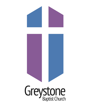# Greystone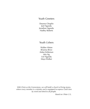# Youth Greeters

Deanna Choplin Joel Ngandu Jonathan Ngandu Hadley Roberts

# Youth Ushers

Walker Alston Brianna Brice Aidan Eshleman Mia Ng Uel Ngandu Maya Walker

*With Christ as the Cornerstone, we will build a church of living stones, where every member is a minister and is equipped to express God's love by word and deed to all people.* 

 *Based on I Peter 2:5,*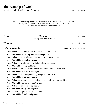#### ☦ Please rise in body or spirit.

# **The Worship of God**  Youth and Graduation Sunday **Fig. 2022** June 12, 2022

 *All are invited to sing during worship! Masks are recommended but not required. For anyone who would like to wear a mask but does not have one, they are available at the back of the sanctuary.* 

Mia Ng and Chrissy McIvor

**Prelude** "Fantasie"by J. A. Arts

## **Welcome Anna Beth Cross**

## **<sup></sup> Call to Worship Additional Example 2.1 <b>A** Aaron Ng and Maya Walker

- One: When many in the world are cast out and turned away…
- **All: We will be accepting and welcoming of all.**
- One: When many people are alone and have no one to turn to…
- **All: We will be a family for everyone.**
- One: When the world is filled with hatred and darkness…
- **All: We will be loving and kind.**
- One: When we struggle to find spaces that allow us to be who we are…
- **All: We will be a place of belonging.**
- One: When many are experiencing danger and destruction…
- **All: We will be a safe community.**
- One: When we see others in need, in our community and our world…
- **All: We will be servants of God's grace.**
- One: When we gather in this place…
- **All: We will worship God together.**
- One: As a youth group and church family…
- **All: We will be faithful and present.**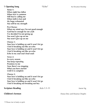# **† Opening Song**  $\bullet$  "Echo" By Elevation Worship

**Verse 1: When night has fallen When fear is common Still You're calling me When faith is lost and My hope exhausted You will be my strength** 

**Pre-Chorus:** 

**When my mind says I'm not good enough God You're enough for me yeah I've decided I'm not giving up You won't give up on me You won't give up on me** 

**Chorus 1:** 

**Your love is holding on and it won't let go I feel it breaking out like an echo Your love is holding on and it won't let go I feel it breaking out like an echo Echo in my soul soul (Soul soul)** 

**Verse 2:** 

**In every season You keep repeating Promises to me Now there's no stopping What you have started Until it is complete** 

**Chorus 2: Your love is holding on and it won't let go I feel it breaking out like an echo Your love is holding on and it won't let go I feel it breaking out breaking out hey** 

**Scripture Reading** Acts 1:1-11 Acts 1:1-11 Aaron Ng

**Children's Sermon Children's Sermon Diana Dew and Deanna Choplin**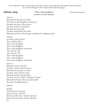*As our offertory song is sung, please feel free to place your offering in the plates that are passed, or you can also give online at [greystonechurch.org](http://greystonechurch.org/)/give.* 

**Offertory Song** <br> **Conserved Alternative Systems** By Elevation Worship Jonathan and Joel Ngandu

Verse 1: Blessed are the poor in spirit For theirs is the Kingdom of Heaven Blessed are those who mourn For they will be comforted Blessed are the meek For they will inherit the Earth Blessed are those who hunger and thirst for righteousness Chorus: For they will be filled They will be filled This is the Kingdom This is the Kingdom This is the Kingdom of Heaven Ask and He will Ask and He will This is the Kingdom This is the Kingdom This is the Kingdom of Heaven Verse 2: Blessed are the merciful For they will be shown mercy Blessed are the pure in heart For they, they will see God Blessed are the peacemakers For they will be called "children of God" Blessed are those who are persecuted Because of righteousness Chorus

Bridge: Ask and you'll receive Seek and you will find Knock and the door will be opened Knock and the door will be opened X2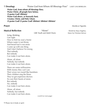**Praise God, from whom all blessings flow; Praise Christ, all people here below; O praise God! Alleluia! Praise God above, ye heavenly host; Creator, Christ, and Holy Ghost. O praise God! O praise God! Alleluia! Alleluia! Alleluia!** 

**Musical Reflection 1988 "Alone"** Words by Maya Angelou, GBC Youth and Adult Choirs Music by Christian McIvor

Lying, thinking Last night How to find my soul a home Where water is not thirsty And bread loaf is not stone I came up with one thing And I don't believe I'm wrong That nobody, But nobody Can make it out here alone.

Alone, all alone Nobody, but nobody Can make it out here alone.

There are some millionaires With money they can't use Their wives run round like banshees Their children sing the blues They've got expensive doctors To cure their hearts of stone. But nobody No, nobody Can make it out here alone.

Alone, all alone Nobody, but nobody Can make it out here alone.

(cont'd on next page)

*T* **Doxology 19.13.13.13.13.14** "Praise God from Whom All Blessings Flow" LASST UNS ERFREUEN

**Prayer** Mordecai Ngandu **Prayer** Mordecai Ngandu **Mordecai Ngandu** Mordecai Ngandu ng Mordecai Ngandu ng Mordecai Ngandu ng Mordecai Ngandu ng Mordecai Ngandu ng Mordecai Ngandu ng Mordecai Ngandu ng Mordecai Ngandu ng Mo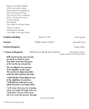| Now if you listen closely<br>I'll tell you what I know<br>Storm clouds are gathering<br>The wind is gonna blow<br>The race of man is suffering<br>And I can hear the moan,<br>'Cause nobody,<br>But nobody<br>Can make it out here alone.<br>Alone, all alone<br>Nobody, but nobody |                    |                      |
|-------------------------------------------------------------------------------------------------------------------------------------------------------------------------------------------------------------------------------------------------------------------------------------|--------------------|----------------------|
| Can make it out here alone.                                                                                                                                                                                                                                                         |                    |                      |
| <b>Scripture Reading</b>                                                                                                                                                                                                                                                            | Acts 2:37-47       | Ariel Ngandu         |
| <b>Sermon</b>                                                                                                                                                                                                                                                                       | "What Comes Next?" | Anna Beth Cross      |
| <b>Sermon Response</b>                                                                                                                                                                                                                                                              |                    | <b>Walker Alston</b> |
| † Hymn of Response<br>"Will You Let Me Be Your Servant"<br>THE SERVANT SONG;<br>Words and Music by Richard Gillard                                                                                                                                                                  |                    |                      |
| Will you let me be your servant,<br>let me be as Christ to you?<br>Pray that I may have the grace<br>to let you be my servant too.                                                                                                                                                  |                    |                      |
| We are pilgrims on a journey;<br>we're together on the road.<br>We are here to help each other<br>walk the mile and bear the load.                                                                                                                                                  |                    |                      |
| I will hold the Christ-light for you<br>in the nighttime of your fear.<br>I will hold my hand out to you,<br>speak the peace you long to hear.                                                                                                                                      |                    |                      |
| I will weep when you are weeping;<br>when you laugh I'll laugh with you.<br>I will share your joy and sorrow<br>till we've seen this journey through.                                                                                                                               |                    |                      |
| (cont'd on next page)                                                                                                                                                                                                                                                               |                    |                      |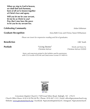**When we sing to God in heaven, we shall find such harmony, born of all we've known together of Christ's love and agony.** 

**Will you let me be your servant, let me be as Christ to you? Pray that I may have the grace to let you be my servant too.** 

## **Celebrating Community Celebrating Community Aidan Eshleman**

**Graduate Recognition Anna Beth Cross and Chrissy Tatum Williamson** 

*Please see insert for responsive reading and list of graduates.* 

**Benediction** GBC Youth

**Postlude** "Living Stones" Words and Music by Christian McIvor Christian McIvor ©2020

> Music and song texts printed in this bulletin used by permission with CCLI License #295340 and OneLicense License # P-400143.



*Greystone Baptist Church | 7509 Lead Mine Road, Raleigh, NC 27615*  Church Office Hours: 8:30-4:30 PM (M-Th) | Phone: (919) 847-1333 | Email: [office@greystonechurch.org](mailto:office@greystonechurch.org) Website: [www.greystonechurch.org](http://www.greystonechurch.org) | Facebook: @greystonebaptistchurch | Instagram: @greystonechurch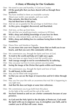# **A Litany of Blessing for Our Graduates**

- One: We stand in awe and humility, O God our Creator,
- **All: Of the good gifts that you have shared with us through these graduates.**
- One: You have instilled in them an insatiable curiosity About your world, your people, and your earth.
- **All: This curiosity, this thirst for truth, Has led them here to this place,**
- One: And we are so grateful for the privilege to hold them close
- **All: As they grew, struggled, discovered, and flourished.**
- One: And now, as they go from here, We ask that you would graciously continue to fill them
- **All: With a deep and abiding knowledge of your love for them.**
- One: And we, who remain here, ask that you would fill us
- **All: With a deep and abiding love to continue loving them in their transitions.**
- One: Diana Dew and Mordecai Ngandu,
- **All: As you move into your next chapter, know that we hold you in our hearts, and that you carry this community with you.**
- One: We commission you, through the Spirit and love of God,
- **All: To tend to the world and help set it right once again.**
- One: May you have an open heart to feel the world's pain,
- **All: And courage enough to not be overwhelmed by its suffering.**
- One: May you pour out love to every person you encounter,
- **All: Seeing the Image of the Divine that sparks within each human.**
- One: We commission you, through the Spirit and love of God,
- **All: To add beauty in this world.**
- One: May you be filled with imagination
- **All: So that you can see the hope of resurrection and let it shine through you.**
- One: May you live your life with an awareness that real life is happening to you right now,
- **All: And that life does not begin at some later milestone.**
- One: We commission you to go forth from this place As the light of the world and the salt of the earth.
- **All: You have formed us and we are a better community because of your presence.**
- **ALL: As God sent the Holy Spirit to the disciples at Pentecost, God sends the Spirit with you to empower you, to strengthen your faith, and to comfort you in all that will come. Amen.**